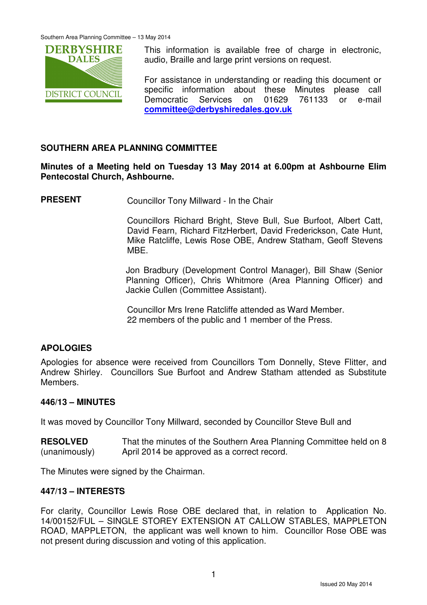

This information is available free of charge in electronic, audio, Braille and large print versions on request.

For assistance in understanding or reading this document or specific information about these Minutes please call Democratic Services on 01629 761133 or e-mail **committee@derbyshiredales.gov.uk**

# **SOUTHERN AREA PLANNING COMMITTEE**

**Minutes of a Meeting held on Tuesday 13 May 2014 at 6.00pm at Ashbourne Elim Pentecostal Church, Ashbourne.** 

**PRESENT** Councillor Tony Millward - In the Chair

 Councillors Richard Bright, Steve Bull, Sue Burfoot, Albert Catt, David Fearn, Richard FitzHerbert, David Frederickson, Cate Hunt, Mike Ratcliffe, Lewis Rose OBE, Andrew Statham, Geoff Stevens **MBF** 

Jon Bradbury (Development Control Manager), Bill Shaw (Senior Planning Officer), Chris Whitmore (Area Planning Officer) and Jackie Cullen (Committee Assistant).

Councillor Mrs Irene Ratcliffe attended as Ward Member. 22 members of the public and 1 member of the Press.

#### **APOLOGIES**

Apologies for absence were received from Councillors Tom Donnelly, Steve Flitter, and Andrew Shirley. Councillors Sue Burfoot and Andrew Statham attended as Substitute Members.

#### **446/13 – MINUTES**

It was moved by Councillor Tony Millward, seconded by Councillor Steve Bull and

**RESOLVED** (unanimously) That the minutes of the Southern Area Planning Committee held on 8 April 2014 be approved as a correct record.

The Minutes were signed by the Chairman.

#### **447/13 – INTERESTS**

For clarity, Councillor Lewis Rose OBE declared that, in relation to Application No. 14/00152/FUL – SINGLE STOREY EXTENSION AT CALLOW STABLES, MAPPLETON ROAD, MAPPLETON, the applicant was well known to him. Councillor Rose OBE was not present during discussion and voting of this application.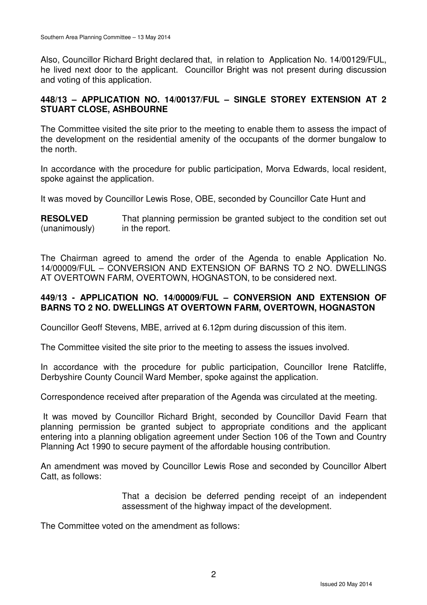Also, Councillor Richard Bright declared that, in relation to Application No. 14/00129/FUL, he lived next door to the applicant. Councillor Bright was not present during discussion and voting of this application.

# **448/13 – APPLICATION NO. 14/00137/FUL – SINGLE STOREY EXTENSION AT 2 STUART CLOSE, ASHBOURNE**

The Committee visited the site prior to the meeting to enable them to assess the impact of the development on the residential amenity of the occupants of the dormer bungalow to the north.

In accordance with the procedure for public participation, Morva Edwards, local resident, spoke against the application.

It was moved by Councillor Lewis Rose, OBE, seconded by Councillor Cate Hunt and

**RESOLVED** (unanimously) That planning permission be granted subject to the condition set out in the report.

The Chairman agreed to amend the order of the Agenda to enable Application No. 14/00009/FUL – CONVERSION AND EXTENSION OF BARNS TO 2 NO. DWELLINGS AT OVERTOWN FARM, OVERTOWN, HOGNASTON, to be considered next.

# **449/13 - APPLICATION NO. 14/00009/FUL – CONVERSION AND EXTENSION OF BARNS TO 2 NO. DWELLINGS AT OVERTOWN FARM, OVERTOWN, HOGNASTON**

Councillor Geoff Stevens, MBE, arrived at 6.12pm during discussion of this item.

The Committee visited the site prior to the meeting to assess the issues involved.

In accordance with the procedure for public participation, Councillor Irene Ratcliffe, Derbyshire County Council Ward Member, spoke against the application.

Correspondence received after preparation of the Agenda was circulated at the meeting.

 It was moved by Councillor Richard Bright, seconded by Councillor David Fearn that planning permission be granted subject to appropriate conditions and the applicant entering into a planning obligation agreement under Section 106 of the Town and Country Planning Act 1990 to secure payment of the affordable housing contribution.

An amendment was moved by Councillor Lewis Rose and seconded by Councillor Albert Catt, as follows:

> That a decision be deferred pending receipt of an independent assessment of the highway impact of the development.

The Committee voted on the amendment as follows: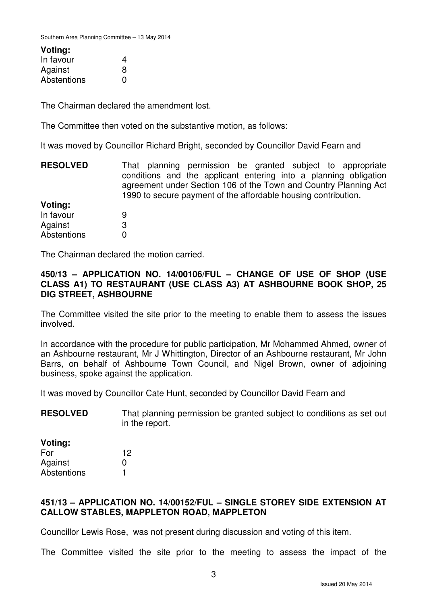#### **Voting:**

| In favour   | 4            |
|-------------|--------------|
| Against     | 8            |
| Abstentions | $\mathbf{I}$ |

The Chairman declared the amendment lost.

The Committee then voted on the substantive motion, as follows:

It was moved by Councillor Richard Bright, seconded by Councillor David Fearn and

**RESOLVED** That planning permission be granted subject to appropriate conditions and the applicant entering into a planning obligation agreement under Section 106 of the Town and Country Planning Act 1990 to secure payment of the affordable housing contribution.

**Voting:** In favour Against **Abstentions** 9 3  $\Omega$ 

The Chairman declared the motion carried.

#### **450/13 – APPLICATION NO. 14/00106/FUL – CHANGE OF USE OF SHOP (USE CLASS A1) TO RESTAURANT (USE CLASS A3) AT ASHBOURNE BOOK SHOP, 25 DIG STREET, ASHBOURNE**

The Committee visited the site prior to the meeting to enable them to assess the issues involved.

In accordance with the procedure for public participation, Mr Mohammed Ahmed, owner of an Ashbourne restaurant, Mr J Whittington, Director of an Ashbourne restaurant, Mr John Barrs, on behalf of Ashbourne Town Council, and Nigel Brown, owner of adjoining business, spoke against the application.

It was moved by Councillor Cate Hunt, seconded by Councillor David Fearn and

**RESOLVED** That planning permission be granted subject to conditions as set out in the report.

**Voting:** For Against **Abstentions** 12  $\Omega$ 1

# **451/13 – APPLICATION NO. 14/00152/FUL – SINGLE STOREY SIDE EXTENSION AT CALLOW STABLES, MAPPLETON ROAD, MAPPLETON**

Councillor Lewis Rose, was not present during discussion and voting of this item.

The Committee visited the site prior to the meeting to assess the impact of the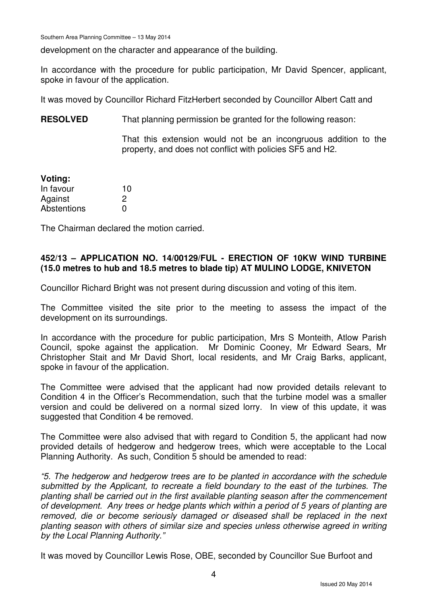Southern Area Planning Committee – 13 May 2014

development on the character and appearance of the building.

In accordance with the procedure for public participation, Mr David Spencer, applicant, spoke in favour of the application.

It was moved by Councillor Richard FitzHerbert seconded by Councillor Albert Catt and

**RESOLVED** That planning permission be granted for the following reason:

That this extension would not be an incongruous addition to the property, and does not conflict with policies SF5 and H2.

| Voting:     |    |
|-------------|----|
| In favour   | 10 |
| Against     | 2  |
| Abstentions | O  |

The Chairman declared the motion carried.

# **452/13 – APPLICATION NO. 14/00129/FUL - ERECTION OF 10KW WIND TURBINE (15.0 metres to hub and 18.5 metres to blade tip) AT MULINO LODGE, KNIVETON**

Councillor Richard Bright was not present during discussion and voting of this item.

The Committee visited the site prior to the meeting to assess the impact of the development on its surroundings.

In accordance with the procedure for public participation, Mrs S Monteith, Atlow Parish Council, spoke against the application. Mr Dominic Cooney, Mr Edward Sears, Mr Christopher Stait and Mr David Short, local residents, and Mr Craig Barks, applicant, spoke in favour of the application.

The Committee were advised that the applicant had now provided details relevant to Condition 4 in the Officer's Recommendation, such that the turbine model was a smaller version and could be delivered on a normal sized lorry. In view of this update, it was suggested that Condition 4 be removed.

The Committee were also advised that with regard to Condition 5, the applicant had now provided details of hedgerow and hedgerow trees, which were acceptable to the Local Planning Authority. As such, Condition 5 should be amended to read:

"5. The hedgerow and hedgerow trees are to be planted in accordance with the schedule submitted by the Applicant, to recreate a field boundary to the east of the turbines. The planting shall be carried out in the first available planting season after the commencement of development. Any trees or hedge plants which within a period of 5 years of planting are removed, die or become seriously damaged or diseased shall be replaced in the next planting season with others of similar size and species unless otherwise agreed in writing by the Local Planning Authority."

It was moved by Councillor Lewis Rose, OBE, seconded by Councillor Sue Burfoot and